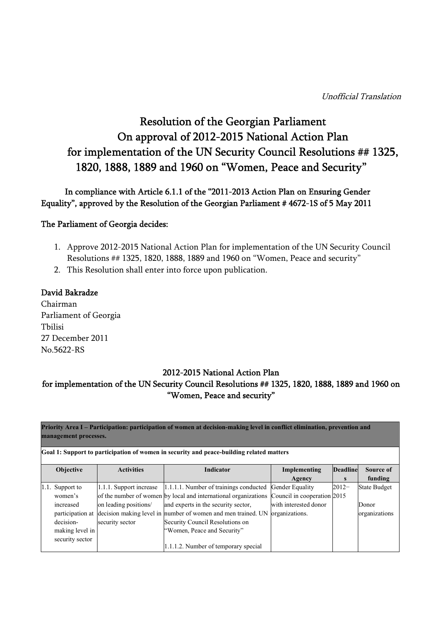# Resolution of the Georgian Parliament On approval of 2012-2015 National Action Plan for implementation of the UN Security Council Resolutions ## 1325, 1820, 1888, 1889 and 1960 on "Women, Peace and Security"

## In compliance with Article 6.1.1 of the "2011-2013 Action Plan on Ensuring Gender Equality", approved by the Resolution of the Georgian Parliament # 4672-1S of 5 May 2011

### The Parliament of Georgia decides:

- 1. Approve 2012-2015 National Action Plan for implementation of the UN Security Council Resolutions ## 1325, 1820, 1888, 1889 and 1960 on "Women, Peace and security"
- 2. This Resolution shall enter into force upon publication.

#### David Bakradze

Chairman Parliament of Georgia Tbilisi 27 December 2011 No.5622-RS

### 2012-2015 National Action Plan

## for implementation of the UN Security Council Resolutions ## 1325, 1820, 1888, 1889 and 1960 on "Women, Peace and security"

**Priority Area I – Participation: participation of women at decision-making level in conflict elimination, prevention and management processes.**

| <b>Objective</b> | <b>Activities</b>       | <b>Indicator</b>                                                              | Implementing                | <b>Deadline</b> | Source of           |
|------------------|-------------------------|-------------------------------------------------------------------------------|-----------------------------|-----------------|---------------------|
|                  |                         |                                                                               | Agency                      |                 | funding             |
| 1.1. Support to  | 1.1.1. Support increase | 1.1.1.1. Number of trainings conducted                                        | Gender Equality             | $2012 -$        | <b>State Budget</b> |
| women's          |                         | of the number of women by local and international organizations               | Council in cooperation 2015 |                 |                     |
| increased        | on leading positions/   | and experts in the security sector,                                           | with interested donor       |                 | Donor               |
|                  |                         | participation at decision making level in number of women and men trained. UN | organizations.              |                 | organizations       |
| decision-        | security sector         | Security Council Resolutions on                                               |                             |                 |                     |
| making level in  |                         | "Women, Peace and Security"                                                   |                             |                 |                     |
| security sector  |                         |                                                                               |                             |                 |                     |
|                  |                         | 1.1.1.2. Number of temporary special                                          |                             |                 |                     |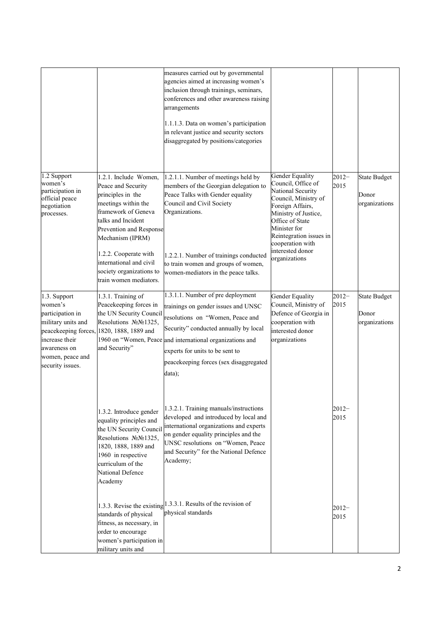|                                                                                                                                             |                                                                                                                                                                                                                                                                                               | measures carried out by governmental<br>agencies aimed at increasing women's<br>inclusion through trainings, seminars,<br>conferences and other awareness raising<br>arrangements<br>1.1.1.3. Data on women's participation<br>in relevant justice and security sectors<br>disaggregated by positions/categories |                                                                                                                                                                                                                                                       |                  |                                               |
|---------------------------------------------------------------------------------------------------------------------------------------------|-----------------------------------------------------------------------------------------------------------------------------------------------------------------------------------------------------------------------------------------------------------------------------------------------|------------------------------------------------------------------------------------------------------------------------------------------------------------------------------------------------------------------------------------------------------------------------------------------------------------------|-------------------------------------------------------------------------------------------------------------------------------------------------------------------------------------------------------------------------------------------------------|------------------|-----------------------------------------------|
| 1.2 Support<br>women's<br>participation in<br>official peace<br>negotiation<br>processes.                                                   | 1.2.1. Include Women,<br>Peace and Security<br>principles in the<br>meetings within the<br>framework of Geneva<br>talks and Incident<br>Prevention and Response<br>Mechanism (IPRM)<br>1.2.2. Cooperate with<br>international and civil<br>society organizations to<br>train women mediators. | 1.2.1.1. Number of meetings held by<br>members of the Georgian delegation to<br>Peace Talks with Gender equality<br>Council and Civil Society<br>Organizations.<br>1.2.2.1. Number of trainings conducted<br>to train women and groups of women,<br>women-mediators in the peace talks.                          | Gender Equality<br>Council, Office of<br>National Security<br>Council, Ministry of<br>Foreign Affairs,<br>Ministry of Justice,<br>Office of State<br>Minister for<br>Reintegration issues in<br>cooperation with<br>interested donor<br>organizations | $2012 -$<br>2015 | <b>State Budget</b><br>Donor<br>organizations |
| 1.3. Support<br>women's<br>participation in<br>military units and<br>increase their<br>awareness on<br>women, peace and<br>security issues. | 1.3.1. Training of<br>Peacekeeping forces in<br>the UN Security Council<br>Resolutions NoNo1325,<br>peacekeeping forces, 1820, 1888, 1889 and<br>and Security"                                                                                                                                | 1.3.1.1. Number of pre deployment<br>trainings on gender issues and UNSC<br>resolutions on "Women, Peace and<br>Security" conducted annually by local<br>1960 on "Women, Peace and international organizations and<br>experts for units to be sent to<br>peacekeeping forces (sex disaggregated<br>$data)$ ;     | Gender Equality<br>Council, Ministry of<br>Defence of Georgia in<br>cooperation with<br>interested donor<br>organizations                                                                                                                             | $2012 -$<br>2015 | <b>State Budget</b><br>Donor<br>organizations |
|                                                                                                                                             | 1.3.2. Introduce gender<br>equality principles and<br>the UN Security Council<br>Resolutions NoNo1325,<br>1820, 1888, 1889 and<br>1960 in respective<br>curriculum of the<br>National Defence<br>Academy                                                                                      | 1.3.2.1. Training manuals/instructions<br>developed and introduced by local and<br>international organizations and experts<br>on gender equality principles and the<br>UNSC resolutions on "Women, Peace<br>and Security" for the National Defence<br>Academy;                                                   |                                                                                                                                                                                                                                                       | $2012 -$<br>2015 |                                               |
|                                                                                                                                             | standards of physical<br>fitness, as necessary, in<br>order to encourage<br>women's participation in<br>military units and                                                                                                                                                                    | 1.3.3. Revise the existing $\vert 1.3.3.1$ . Results of the revision of<br>physical standards                                                                                                                                                                                                                    |                                                                                                                                                                                                                                                       | $2012 -$<br>2015 |                                               |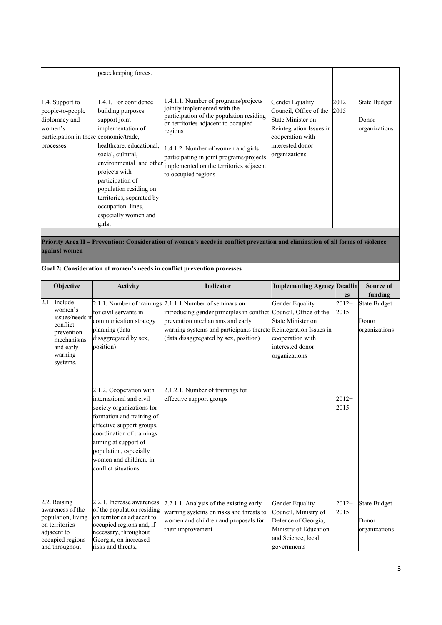|                                                                                                                        | peacekeeping forces.                                                                                                                                                                                                                                                                 |                                                                                                                                                                                                                                                                                                                                                |                                                                                                                                                     |                 |                                        |
|------------------------------------------------------------------------------------------------------------------------|--------------------------------------------------------------------------------------------------------------------------------------------------------------------------------------------------------------------------------------------------------------------------------------|------------------------------------------------------------------------------------------------------------------------------------------------------------------------------------------------------------------------------------------------------------------------------------------------------------------------------------------------|-----------------------------------------------------------------------------------------------------------------------------------------------------|-----------------|----------------------------------------|
| 1.4. Support to<br>people-to-people<br>diplomacy and<br>women's<br>participation in these economic/trade,<br>processes | 1.4.1. For confidence<br>building purposes<br>support joint<br>implementation of<br>healthcare, educational,<br>social, cultural,<br>projects with<br>participation of<br>population residing on<br>territories, separated by<br>occupation lines,<br>especially women and<br>girls; | 1.4.1.1. Number of programs/projects<br>jointly implemented with the<br>participation of the population residing<br>on territories adjacent to occupied<br>regions<br>1.4.1.2. Number of women and girls<br>participating in joint programs/projects<br>environmental and other implemented on the territories adjacent<br>to occupied regions | Gender Equality<br>Council, Office of the<br>State Minister on<br>Reintegration Issues in<br>cooperation with<br>interested donor<br>organizations. | $2012-$<br>2015 | State Budget<br>Donor<br>organizations |

**Priority Area II – Prevention: Consideration of women's needs in conflict prevention and elimination of all forms of violence against women** 

|     | Goal 2: Consideration of women's needs in conflict prevention processes                                                       |                                                                                                                                                                                                                                                                            |                                                                                                                                                                                                                                                                               |                                                                                                                                     |                  |                                               |  |  |
|-----|-------------------------------------------------------------------------------------------------------------------------------|----------------------------------------------------------------------------------------------------------------------------------------------------------------------------------------------------------------------------------------------------------------------------|-------------------------------------------------------------------------------------------------------------------------------------------------------------------------------------------------------------------------------------------------------------------------------|-------------------------------------------------------------------------------------------------------------------------------------|------------------|-----------------------------------------------|--|--|
|     | Objective                                                                                                                     | <b>Activity</b>                                                                                                                                                                                                                                                            | <b>Indicator</b>                                                                                                                                                                                                                                                              | <b>Implementing Agency Deadlin</b>                                                                                                  | es               | Source of<br>funding                          |  |  |
| 2.1 | Include<br>women's<br>issues/needs in<br>conflict<br>prevention<br>mechanisms<br>and early<br>warning<br>systems.             | for civil servants in<br>communication strategy<br>planning (data<br>disaggregated by sex,<br>position)                                                                                                                                                                    | 2.1.1. Number of trainings 2.1.1.1. Number of seminars on<br>introducing gender principles in conflict Council, Office of the<br>prevention mechanisms and early<br>warning systems and participants thereto Reintegration Issues in<br>(data disaggregated by sex, position) | Gender Equality<br>State Minister on<br>cooperation with<br>interested donor<br>organizations                                       | $2012 -$<br>2015 | <b>State Budget</b><br>Donor<br>organizations |  |  |
|     |                                                                                                                               | 2.1.2. Cooperation with<br>international and civil<br>society organizations for<br>formation and training of<br>effective support groups,<br>coordination of trainings<br>aiming at support of<br>population, especially<br>women and children, in<br>conflict situations. | 2.1.2.1. Number of trainings for<br>effective support groups                                                                                                                                                                                                                  |                                                                                                                                     | $2012-$<br>2015  |                                               |  |  |
|     | 2.2. Raising<br>awareness of the<br>population, living<br>on territories<br>adjacent to<br>occupied regions<br>and throughout | 2.2.1. Increase awareness<br>of the population residing<br>on territories adjacent to<br>occupied regions and, if<br>necessary, throughout<br>Georgia, on increased<br>risks and threats.                                                                                  | 2.2.1.1. Analysis of the existing early<br>warning systems on risks and threats to<br>women and children and proposals for<br>their improvement                                                                                                                               | <b>Gender Equality</b><br>Council, Ministry of<br>Defence of Georgia,<br>Ministry of Education<br>and Science, local<br>governments | $2012 -$<br>2015 | <b>State Budget</b><br>Donor<br>organizations |  |  |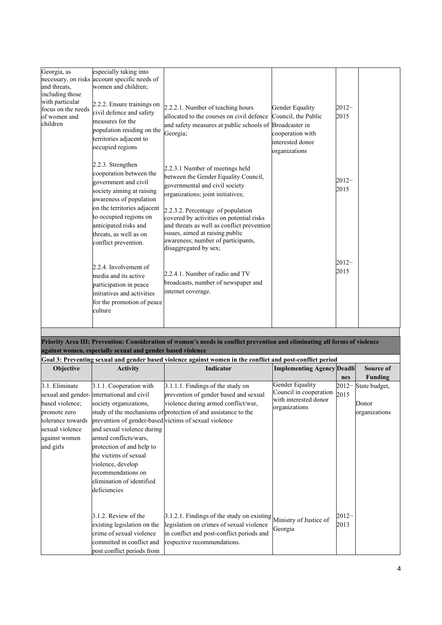| Georgia, as<br>and threats,<br>including those<br>with particular<br>focus on the needs<br>of women and<br>children | especially taking into<br>necessary, on risks account specific needs of<br>women and children;<br>2.2.2. Ensure trainings on<br>civil defence and safety<br>measures for the<br>population residing on the<br>territories adjacent to<br>occupied regions        | 2.2.2.1. Number of teaching hours<br>allocated to the courses on civil defence<br>and safety measures at public schools of Broadcaster in<br>Georgia;                                                                                                                                                                                                                           | Gender Equality<br>Council, the Public<br>cooperation with<br>interested donor<br>organizations | $2012 -$<br>2015 |  |
|---------------------------------------------------------------------------------------------------------------------|------------------------------------------------------------------------------------------------------------------------------------------------------------------------------------------------------------------------------------------------------------------|---------------------------------------------------------------------------------------------------------------------------------------------------------------------------------------------------------------------------------------------------------------------------------------------------------------------------------------------------------------------------------|-------------------------------------------------------------------------------------------------|------------------|--|
|                                                                                                                     | 2.2.3. Strengthen<br>cooperation between the<br>government and civil<br>society aiming at raising<br>awareness of population<br>on the territories adjacent<br>to occupied regions on<br>anticipated risks and<br>threats, as well as on<br>conflict prevention. | 2.2.3.1 Number of meetings held<br>between the Gender Equality Council,<br>governmental and civil society<br>organizations; joint initiatives;<br>2.2.3.2. Percentage of population<br>covered by activities on potential risks<br>and threats as well as conflict prevention<br>issues, aimed at raising public<br>awareness; number of participants,<br>disaggregated by sex; |                                                                                                 | $2012 -$<br>2015 |  |
|                                                                                                                     | 2.2.4. Involvement of<br>media and its active<br>participation in peace<br>initiatives and activities<br>for the promotion of peace<br>culture                                                                                                                   | 2.2.4.1. Number of radio and TV<br>broadcasts, number of newspaper and<br>internet coverage.                                                                                                                                                                                                                                                                                    |                                                                                                 | $2012-$<br>2015  |  |

**Priority Area III: Prevention: Consideration of women's needs in conflict prevention and eliminating all forms of violence against women, especially sexual and gender based violence**

|                                                                                                                         | Goal 3: Preventing sexual and gender based violence against women in the conflict and post-conflict period                                                                                                                                                                                                                                                   |                                                                                                                                                                                              |                                                                                     |                  |                                         |  |  |  |  |
|-------------------------------------------------------------------------------------------------------------------------|--------------------------------------------------------------------------------------------------------------------------------------------------------------------------------------------------------------------------------------------------------------------------------------------------------------------------------------------------------------|----------------------------------------------------------------------------------------------------------------------------------------------------------------------------------------------|-------------------------------------------------------------------------------------|------------------|-----------------------------------------|--|--|--|--|
| <b>Objective</b>                                                                                                        | <b>Activity</b>                                                                                                                                                                                                                                                                                                                                              | Indicator<br><b>Implementing Agency Deadli</b>                                                                                                                                               |                                                                                     |                  |                                         |  |  |  |  |
|                                                                                                                         |                                                                                                                                                                                                                                                                                                                                                              |                                                                                                                                                                                              |                                                                                     | nes              | Funding                                 |  |  |  |  |
| 3.1. Eliminate<br>based violence;<br>promote zero<br>tolerance towards<br>sexual violence<br>against women<br>and girls | 3.1.1. Cooperation with<br>sexual and gender-international and civil<br>society organizations,<br>prevention of gender-based victims of sexual violence<br>and sexual violence during<br>armed conflicts/wars,<br>protection of and help to<br>the victims of sexual<br>violence, develop<br>recommendations on<br>elimination of identified<br>deficiencies | 3.1.1.1. Findings of the study on<br>prevention of gender based and sexual<br>violence during armed conflict/war,<br>study of the mechanisms of protection of and assistance to the          | Gender Equality<br>Council in cooperation<br>with interested donor<br>organizations | $2012-$<br>2015  | State budget,<br>Donor<br>organizations |  |  |  |  |
|                                                                                                                         | 3.1.2. Review of the<br>existing legislation on the<br>crime of sexual violence<br>committed in conflict and<br>post conflict periods from                                                                                                                                                                                                                   | $3.1.2.1$ . Findings of the study on existing Ministry of Justice of<br>legislation on crimes of sexual violence<br>in conflict and post-conflict periods and<br>respective recommendations. | Georgia                                                                             | $2012 -$<br>2013 |                                         |  |  |  |  |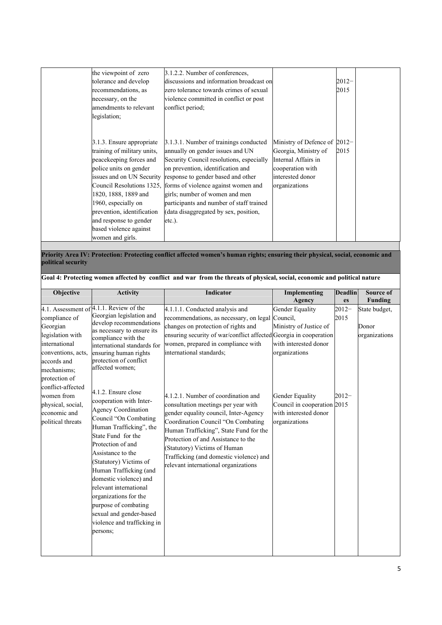| the viewpoint of zero<br>tolerance and develop<br>recommendations, as<br>necessary, on the<br>amendments to relevant<br>legislation;                                                                                                                               | 3.1.2.2. Number of conferences,<br>discussions and information broadcast on<br>zero tolerance towards crimes of sexual<br>violence committed in conflict or post<br>conflict period;                                                                                                                                                                                                                                             |                                                                                                                                      | $2012 -$<br>2015 |  |
|--------------------------------------------------------------------------------------------------------------------------------------------------------------------------------------------------------------------------------------------------------------------|----------------------------------------------------------------------------------------------------------------------------------------------------------------------------------------------------------------------------------------------------------------------------------------------------------------------------------------------------------------------------------------------------------------------------------|--------------------------------------------------------------------------------------------------------------------------------------|------------------|--|
| 3.1.3. Ensure appropriate<br>training of military units,<br>peacekeeping forces and<br>police units on gender<br>1820, 1888, 1889 and<br>1960, especially on<br>prevention, identification<br>and response to gender<br>based violence against<br>women and girls. | 3.1.3.1. Number of trainings conducted<br>annually on gender issues and UN<br>Security Council resolutions, especially<br>on prevention, identification and<br>issues and on UN Security response to gender based and other<br>Council Resolutions 1325, forms of violence against women and<br>girls; number of women and men<br>participants and number of staff trained<br>(data disaggregated by sex, position,<br>$etc.$ ). | Ministry of Defence of 2012-<br>Georgia, Ministry of<br>Internal Affairs in<br>cooperation with<br>interested donor<br>organizations | 2015             |  |

#### **Priority Area IV: Protection: Protecting conflict affected women's human rights; ensuring their physical, social, economic and political security**

| <b>Objective</b>                                                                                                                                                                                                                 | <b>Activity</b>                                                                                                                                                                                                                                                                                                                                                                                                                                                                                                                                                                                                                                                                             | <b>Indicator</b>                                                                                                                                                                                                                                                                                                                                                                                                                                                                                                                                                                                                          | Implementing<br>Agency                                                                                                                                                                      | <b>Deadlin</b><br>es         | Source of<br><b>Funding</b>             |
|----------------------------------------------------------------------------------------------------------------------------------------------------------------------------------------------------------------------------------|---------------------------------------------------------------------------------------------------------------------------------------------------------------------------------------------------------------------------------------------------------------------------------------------------------------------------------------------------------------------------------------------------------------------------------------------------------------------------------------------------------------------------------------------------------------------------------------------------------------------------------------------------------------------------------------------|---------------------------------------------------------------------------------------------------------------------------------------------------------------------------------------------------------------------------------------------------------------------------------------------------------------------------------------------------------------------------------------------------------------------------------------------------------------------------------------------------------------------------------------------------------------------------------------------------------------------------|---------------------------------------------------------------------------------------------------------------------------------------------------------------------------------------------|------------------------------|-----------------------------------------|
| compliance of<br>Georgian<br>legislation with<br>international<br>conventions, acts,<br>accords and<br>mechanisms;<br>protection of<br>conflict-affected<br>women from<br>physical, social,<br>economic and<br>political threats | 4.1. Assessment of 4.1.1. Review of the<br>Georgian legislation and<br>develop recommendations<br>as necessary to ensure its<br>compliance with the<br>international standards for<br>ensuring human rights<br>protection of conflict<br>affected women;<br>4.1.2. Ensure close<br>cooperation with Inter-<br><b>Agency Coordination</b><br>Council "On Combating<br>Human Trafficking", the<br>State Fund for the<br>Protection of and<br>Assistance to the<br>(Statutory) Victims of<br>Human Trafficking (and<br>domestic violence) and<br>relevant international<br>organizations for the<br>purpose of combating<br>sexual and gender-based<br>violence and trafficking in<br>persons; | 4.1.1.1. Conducted analysis and<br>recommendations, as necessary, on legal<br>changes on protection of rights and<br>ensuring security of war/conflict affected Georgia in cooperation<br>women, prepared in compliance with<br>international standards;<br>4.1.2.1. Number of coordination and<br>consultation meetings per year with<br>gender equality council, Inter-Agency<br>Coordination Council "On Combating<br>Human Trafficking", State Fund for the<br>Protection of and Assistance to the<br>(Statutory) Victims of Human<br>Trafficking (and domestic violence) and<br>relevant international organizations | Gender Equality<br>Council,<br>Ministry of Justice of<br>with interested donor<br>organizations<br>Gender Equality<br>Council in cooperation 2015<br>with interested donor<br>organizations | $2012 -$<br>2015<br>$2012 -$ | State budget,<br>Donor<br>organizations |

5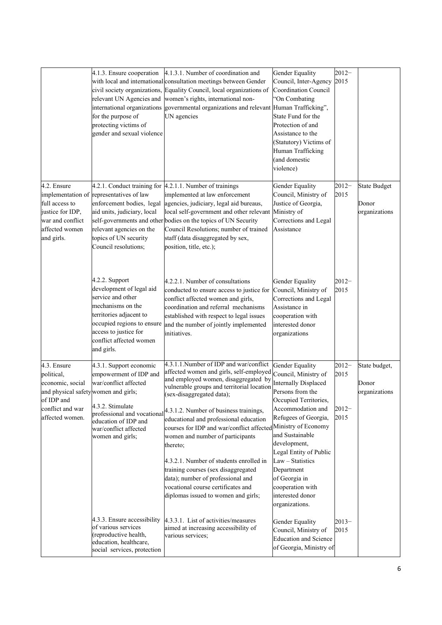|                                                                                                                                            | 4.1.3. Ensure cooperation<br>for the purpose of<br>protecting victims of<br>gender and sexual violence                                                                                                          | 4.1.3.1. Number of coordination and<br>with local and international consultation meetings between Gender<br>civil society organizations, Equality Council, local organizations of<br>relevant UN Agencies and women's rights, international non-<br>international organizations governmental organizations and relevant Human Trafficking",<br>UN agencies                                                                                                                                                                                                                                                                                          | Gender Equality<br>Council, Inter-Agency<br><b>Coordination Council</b><br>'On Combating<br>State Fund for the<br>Protection of and<br>Assistance to the<br>(Statutory) Victims of<br>Human Trafficking<br>(and domestic<br>violence)                                                                                                 | $2012 -$<br>2015                    |                                               |
|--------------------------------------------------------------------------------------------------------------------------------------------|-----------------------------------------------------------------------------------------------------------------------------------------------------------------------------------------------------------------|-----------------------------------------------------------------------------------------------------------------------------------------------------------------------------------------------------------------------------------------------------------------------------------------------------------------------------------------------------------------------------------------------------------------------------------------------------------------------------------------------------------------------------------------------------------------------------------------------------------------------------------------------------|---------------------------------------------------------------------------------------------------------------------------------------------------------------------------------------------------------------------------------------------------------------------------------------------------------------------------------------|-------------------------------------|-----------------------------------------------|
| 4.2. Ensure<br>full access to<br>justice for IDP,<br>war and conflict<br>affected women<br>and girls.                                      | implementation of representatives of law<br>enforcement bodies, legal<br>aid units, judiciary, local<br>relevant agencies on the<br>topics of UN security<br>Council resolutions;                               | 4.2.1. Conduct training for 4.2.1.1. Number of trainings<br>implemented at law enforcement<br>agencies, judiciary, legal aid bureaus,<br>local self-government and other relevant Ministry of<br>self-governments and other bodies on the topics of UN Security<br>Council Resolutions; number of trained<br>staff (data disaggregated by sex,<br>position, title, etc.);                                                                                                                                                                                                                                                                           | Gender Equality<br>Council, Ministry of<br>Justice of Georgia,<br>Corrections and Legal<br>Assistance                                                                                                                                                                                                                                 | $2012 -$<br>2015                    | <b>State Budget</b><br>Donor<br>organizations |
|                                                                                                                                            | 4.2.2. Support<br>development of legal aid<br>service and other<br>mechanisms on the<br>territories adjacent to<br>occupied regions to ensure<br>access to justice for<br>conflict affected women<br>and girls. | 4.2.2.1. Number of consultations<br>conducted to ensure access to justice for<br>conflict affected women and girls,<br>coordination and referral mechanisms<br>established with respect to legal issues<br>and the number of jointly implemented<br>initiatives.                                                                                                                                                                                                                                                                                                                                                                                    | Gender Equality<br>Council, Ministry of<br>Corrections and Legal<br>Assistance in<br>cooperation with<br>interested donor<br>organizations                                                                                                                                                                                            | $2012 -$<br>2015                    |                                               |
| 4.3. Ensure<br>political,<br>economic, social<br>and physical safety women and girls;<br>of IDP and<br>conflict and war<br>affected women. | 4.3.1. Support economic<br>empowerment of IDP and<br>war/conflict affected<br>4.3.2. Stimulate<br>education of IDP and<br>war/conflict affected<br>women and girls;                                             | 4.3.1.1. Number of IDP and war/conflict<br>affected women and girls, self-employed<br>and employed women, disaggregated by<br>vulnerable groups and territorial location<br>(sex-disaggregated data);<br>professional and vocational $\left 4.3.1.2$ . Number of business trainings,<br>educational and professional education<br>courses for IDP and war/conflict affected Ministry of Economy<br>women and number of participants<br>thereto:<br>4.3.2.1. Number of students enrolled in<br>training courses (sex disaggregated<br>data); number of professional and<br>vocational course certificates and<br>diplomas issued to women and girls; | Gender Equality<br>Council, Ministry of<br>Internally Displaced<br>Persons from the<br>Occupied Territories,<br>Accommodation and<br>Refugees of Georgia,<br>and Sustainable<br>development,<br>Legal Entity of Public<br>$Law - Statistics$<br>Department<br>of Georgia in<br>cooperation with<br>interested donor<br>organizations. | $2012 -$<br>2015<br>$2012-$<br>2015 | State budget,<br>Donor<br>organizations       |
|                                                                                                                                            | 4.3.3. Ensure accessibility<br>of various services<br>(reproductive health,<br>education, healthcare,<br>social services, protection                                                                            | 4.3.3.1. List of activities/measures<br>aimed at increasing accessibility of<br>various services;                                                                                                                                                                                                                                                                                                                                                                                                                                                                                                                                                   | Gender Equality<br>Council, Ministry of<br><b>Education and Science</b><br>of Georgia, Ministry of                                                                                                                                                                                                                                    | $2013-$<br>2015                     |                                               |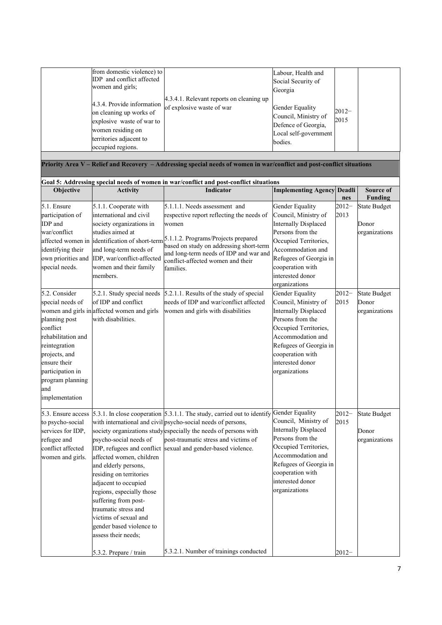|                                         | from domestic violence) to                                        |                                                                                                                        | Labour, Health and                              |                 |                     |
|-----------------------------------------|-------------------------------------------------------------------|------------------------------------------------------------------------------------------------------------------------|-------------------------------------------------|-----------------|---------------------|
|                                         | IDP and conflict affected<br>women and girls;                     |                                                                                                                        | Social Security of                              |                 |                     |
|                                         |                                                                   |                                                                                                                        | Georgia                                         |                 |                     |
|                                         | 4.3.4. Provide information                                        | 4.3.4.1. Relevant reports on cleaning up                                                                               |                                                 |                 |                     |
|                                         | on cleaning up works of                                           | of explosive waste of war                                                                                              | Gender Equality                                 | $2012-$         |                     |
|                                         | explosive waste of war to                                         |                                                                                                                        | Council, Ministry of                            | 2015            |                     |
|                                         | women residing on                                                 |                                                                                                                        | Defence of Georgia,                             |                 |                     |
|                                         | territories adjacent to                                           |                                                                                                                        | Local self-government                           |                 |                     |
|                                         | occupied regions.                                                 |                                                                                                                        | bodies.                                         |                 |                     |
|                                         |                                                                   |                                                                                                                        |                                                 |                 |                     |
|                                         |                                                                   | Priority Area V - Relief and Recovery - Addressing special needs of women in war/conflict and post-conflict situations |                                                 |                 |                     |
|                                         |                                                                   | Goal 5: Addressing special needs of women in war/conflict and post-conflict situations                                 |                                                 |                 |                     |
| Objective                               | <b>Activity</b>                                                   | Indicator                                                                                                              | <b>Implementing Agency</b>                      | Deadli          | Source of           |
| 5.1. Ensure                             |                                                                   | 5.1.1.1. Needs assessment and                                                                                          |                                                 | nes<br>$2012 -$ | <b>Funding</b>      |
| participation of                        | 5.1.1. Cooperate with<br>international and civil                  |                                                                                                                        | Gender Equality<br>Council, Ministry of         |                 | <b>State Budget</b> |
| IDP and                                 |                                                                   | respective report reflecting the needs of                                                                              | <b>Internally Displaced</b>                     | 2013            | Donor               |
| war/conflict                            | society organizations in<br>studies aimed at                      | women                                                                                                                  | Persons from the                                |                 |                     |
|                                         |                                                                   | affected women in dentification of short-term 5.1.1.2. Programs/Projects prepared                                      | Occupied Territories,                           |                 | organizations       |
|                                         | and long-term needs of                                            | based on study on addressing short-term                                                                                | Accommodation and                               |                 |                     |
| identifying their<br>own priorities and | IDP, war/conflict-affected                                        | and long-term needs of IDP and war and                                                                                 | Refugees of Georgia in                          |                 |                     |
| special needs.                          | women and their family                                            | conflict-affected women and their                                                                                      | cooperation with                                |                 |                     |
|                                         | members.                                                          | families.                                                                                                              | interested donor                                |                 |                     |
|                                         |                                                                   |                                                                                                                        |                                                 |                 |                     |
|                                         |                                                                   |                                                                                                                        | organizations                                   |                 |                     |
| 5.2. Consider                           | 5.2.1. Study special needs<br>of IDP and conflict                 | 5.2.1.1. Results of the study of special                                                                               | Gender Equality                                 | $2012 -$        | <b>State Budget</b> |
| special needs of                        |                                                                   | needs of IDP and war/conflict affected                                                                                 | Council, Ministry of                            | 2015            | Donor               |
| planning post                           | women and girls in affected women and girls<br>with disabilities. | women and girls with disabilities                                                                                      | <b>Internally Displaced</b><br>Persons from the |                 | organizations       |
| conflict                                |                                                                   |                                                                                                                        | Occupied Territories,                           |                 |                     |
| rehabilitation and                      |                                                                   |                                                                                                                        | Accommodation and                               |                 |                     |
| reintegration                           |                                                                   |                                                                                                                        | Refugees of Georgia in                          |                 |                     |
| projects, and                           |                                                                   |                                                                                                                        | cooperation with                                |                 |                     |
| ensure their                            |                                                                   |                                                                                                                        | interested donor                                |                 |                     |
| participation in                        |                                                                   |                                                                                                                        | organizations                                   |                 |                     |
| program planning                        |                                                                   |                                                                                                                        |                                                 |                 |                     |
| and                                     |                                                                   |                                                                                                                        |                                                 |                 |                     |
| implementation                          |                                                                   |                                                                                                                        |                                                 |                 |                     |
|                                         |                                                                   |                                                                                                                        |                                                 |                 |                     |
| 5.3. Ensure access                      |                                                                   | 5.3.1. In close cooperation 5.3.1.1. The study, carried out to identify                                                | Gender Equality                                 | $2012 -$        | <b>State Budget</b> |
| to psycho-social                        |                                                                   | with international and civil psycho-social needs of persons,                                                           | Council, Ministry of                            | 2015            |                     |
| services for IDP,                       |                                                                   | society organizations study especially the needs of persons with                                                       | <b>Internally Displaced</b>                     |                 | Donor               |
| refugee and                             | psycho-social needs of                                            | post-traumatic stress and victims of                                                                                   | Persons from the                                |                 | organizations       |
| conflict affected                       |                                                                   | IDP, refugees and conflict sexual and gender-based violence.                                                           | Occupied Territories,                           |                 |                     |
| women and girls.                        | affected women, children                                          |                                                                                                                        | Accommodation and                               |                 |                     |
|                                         | and elderly persons,                                              |                                                                                                                        | Refugees of Georgia in                          |                 |                     |
|                                         | residing on territories                                           |                                                                                                                        | cooperation with                                |                 |                     |
|                                         | adjacent to occupied                                              |                                                                                                                        | interested donor                                |                 |                     |
|                                         | regions, especially those                                         |                                                                                                                        | organizations                                   |                 |                     |
|                                         | suffering from post-                                              |                                                                                                                        |                                                 |                 |                     |
|                                         | traumatic stress and                                              |                                                                                                                        |                                                 |                 |                     |
|                                         | victims of sexual and                                             |                                                                                                                        |                                                 |                 |                     |
|                                         | gender based violence to                                          |                                                                                                                        |                                                 |                 |                     |
|                                         | assess their needs;                                               |                                                                                                                        |                                                 |                 |                     |
|                                         |                                                                   |                                                                                                                        |                                                 |                 |                     |
|                                         | 5.3.2. Prepare / train                                            | 5.3.2.1. Number of trainings conducted                                                                                 |                                                 | $2012 -$        |                     |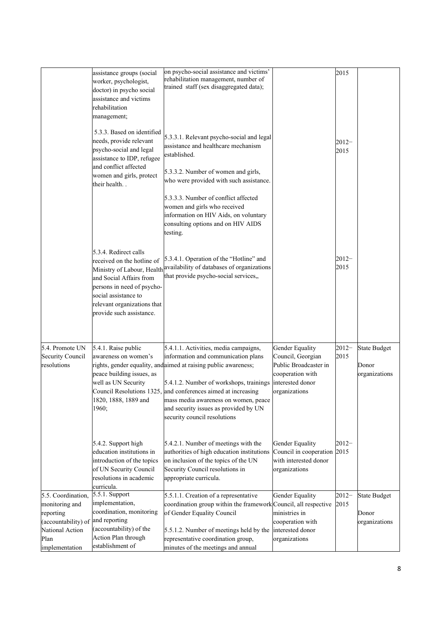|                                                                                        | assistance groups (social<br>worker, psychologist,<br>doctor) in psycho social<br>assistance and victims<br>rehabilitation<br>management;                                                       | on psycho-social assistance and victims'<br>rehabilitation management, number of<br>trained staff (sex disaggregated data);                                                                                                                                                                                                         |                                                                                                     | 2015             |                                               |
|----------------------------------------------------------------------------------------|-------------------------------------------------------------------------------------------------------------------------------------------------------------------------------------------------|-------------------------------------------------------------------------------------------------------------------------------------------------------------------------------------------------------------------------------------------------------------------------------------------------------------------------------------|-----------------------------------------------------------------------------------------------------|------------------|-----------------------------------------------|
|                                                                                        | 5.3.3. Based on identified<br>needs, provide relevant<br>psycho-social and legal<br>assistance to IDP, refugee<br>and conflict affected<br>women and girls, protect                             | 5.3.3.1. Relevant psycho-social and legal<br>assistance and healthcare mechanism<br>established.<br>5.3.3.2. Number of women and girls,                                                                                                                                                                                             |                                                                                                     | $2012 -$<br>2015 |                                               |
|                                                                                        | their health                                                                                                                                                                                    | who were provided with such assistance.<br>5.3.3.3. Number of conflict affected<br>women and girls who received<br>information on HIV Aids, on voluntary<br>consulting options and on HIV AIDS<br>testing.                                                                                                                          |                                                                                                     |                  |                                               |
|                                                                                        | 5.3.4. Redirect calls<br>received on the hotline of<br>and Social Affairs from<br>persons in need of psycho-<br>social assistance to<br>relevant organizations that<br>provide such assistance. | 5.3.4.1. Operation of the "Hotline" and<br>Ministry of Labour, Health availability of databases of organizations<br>that provide psycho-social services,,                                                                                                                                                                           |                                                                                                     | $2012 -$<br>2015 |                                               |
|                                                                                        |                                                                                                                                                                                                 |                                                                                                                                                                                                                                                                                                                                     |                                                                                                     |                  |                                               |
| 5.4. Promote UN                                                                        | 5.4.1. Raise public                                                                                                                                                                             | 5.4.1.1. Activities, media campaigns,                                                                                                                                                                                                                                                                                               | Gender Equality                                                                                     | $2012 -$         | <b>State Budget</b>                           |
| <b>Security Council</b><br>resolutions                                                 | awareness on women's<br>peace building issues, as<br>well as UN Security<br>1820, 1888, 1889 and<br>1960;                                                                                       | information and communication plans<br>rights, gender equality, and aimed at raising public awareness;<br>5.4.1.2. Number of workshops, trainings<br>Council Resolutions 1325, and conferences aimed at increasing<br>mass media awareness on women, peace<br>and security issues as provided by UN<br>security council resolutions | Council, Georgian<br>Public Broadcaster in<br>cooperation with<br>interested donor<br>organizations | 2015             | Donor<br>organizations                        |
|                                                                                        | 5.4.2. Support high<br>education institutions in<br>introduction of the topics<br>of UN Security Council<br>resolutions in academic<br>curricula.                                               | 5.4.2.1. Number of meetings with the<br>authorities of high education institutions<br>on inclusion of the topics of the UN<br>Security Council resolutions in<br>appropriate curricula.                                                                                                                                             | Gender Equality<br>Council in cooperation 2015<br>with interested donor<br>organizations            | $2012 -$         |                                               |
| 5.5. Coordination,<br>monitoring and<br>reporting<br>(accountability) of and reporting | 5.5.1. Support<br>implementation,<br>coordination, monitoring                                                                                                                                   | 5.5.1.1. Creation of a representative<br>coordination group within the framework Council, all respective<br>of Gender Equality Council                                                                                                                                                                                              | Gender Equality<br>ministries in<br>cooperation with                                                | $2012 -$<br>2015 | <b>State Budget</b><br>Donor<br>organizations |
| National Action                                                                        | (accountability) of the<br>Action Plan through                                                                                                                                                  | 5.5.1.2. Number of meetings held by the                                                                                                                                                                                                                                                                                             | interested donor                                                                                    |                  |                                               |
| Plan<br>implementation                                                                 | establishment of                                                                                                                                                                                | representative coordination group,<br>minutes of the meetings and annual                                                                                                                                                                                                                                                            | organizations                                                                                       |                  |                                               |